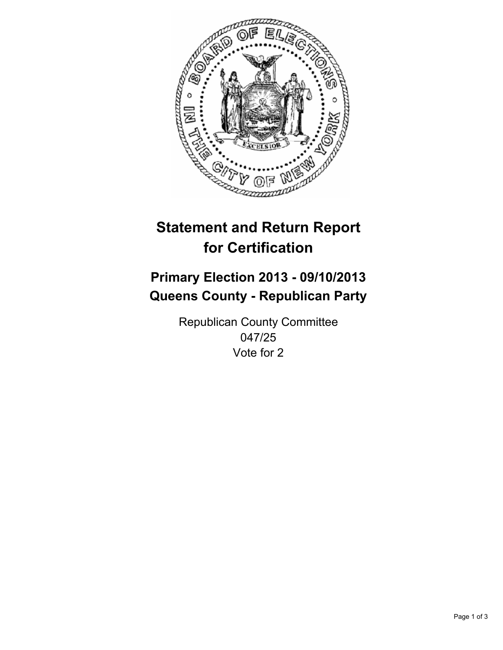

# **Statement and Return Report for Certification**

# **Primary Election 2013 - 09/10/2013 Queens County - Republican Party**

Republican County Committee 047/25 Vote for 2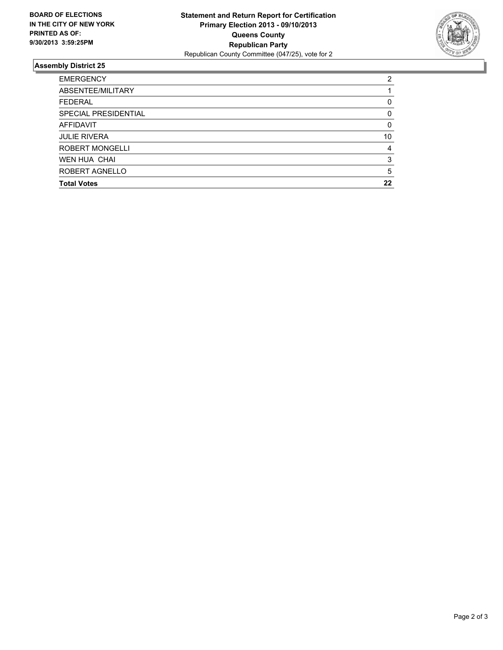

## **Assembly District 25**

| 2        |
|----------|
|          |
| 0        |
| $\Omega$ |
| $\Omega$ |
| 10       |
| 4        |
| 3        |
| 5        |
| 22       |
|          |